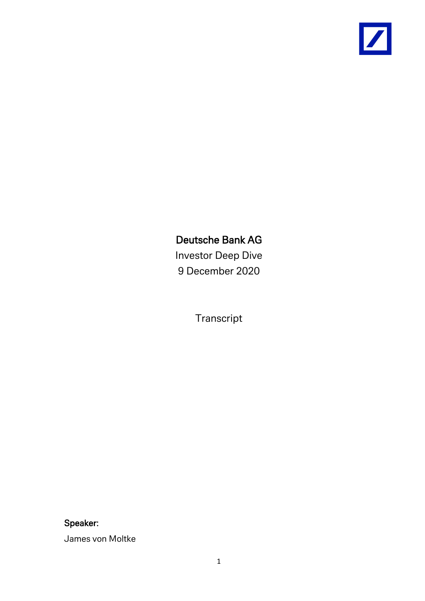

# Deutsche Bank AG

Investor Deep Dive 9 December 2020

Transcript

Speaker:

James von Moltke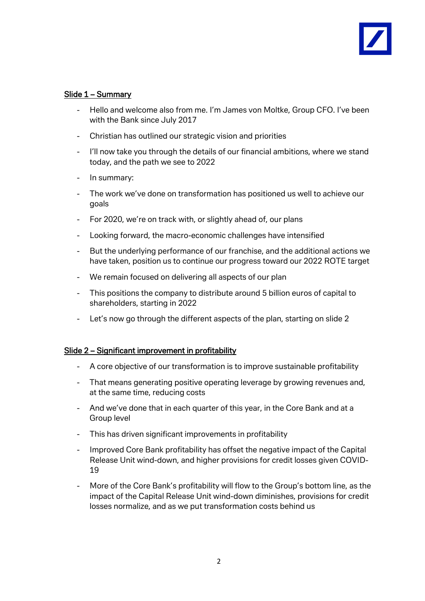## Slide 1 – Summary

- Hello and welcome also from me. I'm James von Moltke, Group CFO. I've been with the Bank since July 2017
- Christian has outlined our strategic vision and priorities
- I'll now take you through the details of our financial ambitions, where we stand today, and the path we see to 2022
- In summary:
- The work we've done on transformation has positioned us well to achieve our goals
- For 2020, we're on track with, or slightly ahead of, our plans
- Looking forward, the macro-economic challenges have intensified
- But the underlying performance of our franchise, and the additional actions we have taken, position us to continue our progress toward our 2022 ROTE target
- We remain focused on delivering all aspects of our plan
- This positions the company to distribute around 5 billion euros of capital to shareholders, starting in 2022
- Let's now go through the different aspects of the plan, starting on slide 2

## Slide 2 – Significant improvement in profitability

- A core objective of our transformation is to improve sustainable profitability
- That means generating positive operating leverage by growing revenues and, at the same time, reducing costs
- And we've done that in each quarter of this year, in the Core Bank and at a Group level
- This has driven significant improvements in profitability
- Improved Core Bank profitability has offset the negative impact of the Capital Release Unit wind-down, and higher provisions for credit losses given COVID-19
- More of the Core Bank's profitability will flow to the Group's bottom line, as the impact of the Capital Release Unit wind-down diminishes, provisions for credit losses normalize, and as we put transformation costs behind us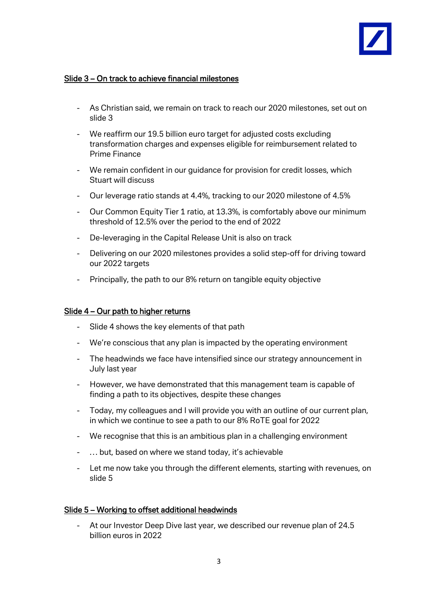

# Slide 3 – On track to achieve financial milestones

- As Christian said, we remain on track to reach our 2020 milestones, set out on slide 3
- We reaffirm our 19.5 billion euro target for adjusted costs excluding transformation charges and expenses eligible for reimbursement related to Prime Finance
- We remain confident in our guidance for provision for credit losses, which Stuart will discuss
- Our leverage ratio stands at 4.4%, tracking to our 2020 milestone of 4.5%
- Our Common Equity Tier 1 ratio, at 13.3%, is comfortably above our minimum threshold of 12.5% over the period to the end of 2022
- De-leveraging in the Capital Release Unit is also on track
- Delivering on our 2020 milestones provides a solid step-off for driving toward our 2022 targets
- Principally, the path to our 8% return on tangible equity objective

## Slide 4 – Our path to higher returns

- Slide 4 shows the key elements of that path
- We're conscious that any plan is impacted by the operating environment
- The headwinds we face have intensified since our strategy announcement in July last year
- However, we have demonstrated that this management team is capable of finding a path to its objectives, despite these changes
- Today, my colleagues and I will provide you with an outline of our current plan, in which we continue to see a path to our 8% RoTE goal for 2022
- We recognise that this is an ambitious plan in a challenging environment
- … but, based on where we stand today, it's achievable
- Let me now take you through the different elements, starting with revenues, on slide 5

## Slide 5 – Working to offset additional headwinds

- At our Investor Deep Dive last year, we described our revenue plan of 24.5 billion euros in 2022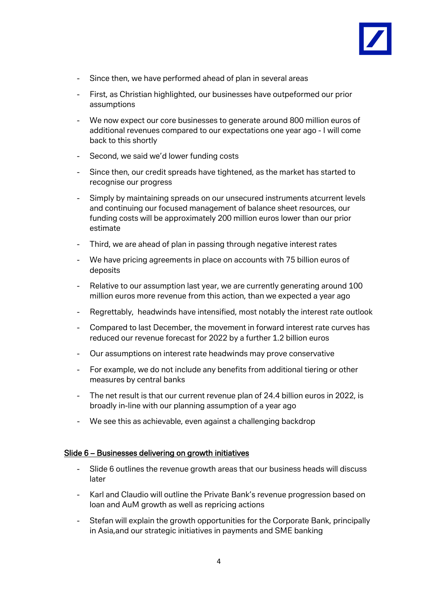

- Since then, we have performed ahead of plan in several areas
- First, as Christian highlighted, our businesses have outpeformed our prior assumptions
- We now expect our core businesses to generate around 800 million euros of additional revenues compared to our expectations one year ago - I will come back to this shortly
- Second, we said we'd lower funding costs
- Since then, our credit spreads have tightened, as the market has started to recognise our progress
- Simply by maintaining spreads on our unsecured instruments atcurrent levels and continuing our focused management of balance sheet resources, our funding costs will be approximately 200 million euros lower than our prior estimate
- Third, we are ahead of plan in passing through negative interest rates
- We have pricing agreements in place on accounts with 75 billion euros of deposits
- Relative to our assumption last year, we are currently generating around 100 million euros more revenue from this action, than we expected a year ago
- Regrettably, headwinds have intensified, most notably the interest rate outlook
- Compared to last December, the movement in forward interest rate curves has reduced our revenue forecast for 2022 by a further 1.2 billion euros
- Our assumptions on interest rate headwinds may prove conservative
- For example, we do not include any benefits from additional tiering or other measures by central banks
- The net result is that our current revenue plan of 24.4 billion euros in 2022, is broadly in-line with our planning assumption of a year ago
- We see this as achievable, even against a challenging backdrop

## Slide 6 – Businesses delivering on growth initiatives

- Slide 6 outlines the revenue growth areas that our business heads will discuss later
- Karl and Claudio will outline the Private Bank's revenue progression based on loan and AuM growth as well as repricing actions
- Stefan will explain the growth opportunities for the Corporate Bank, principally in Asia,and our strategic initiatives in payments and SME banking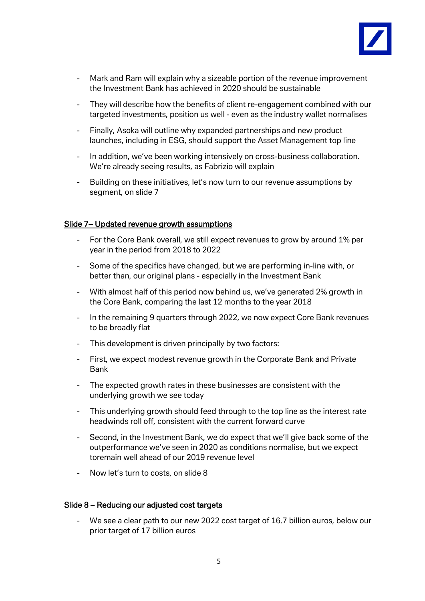

- Mark and Ram will explain why a sizeable portion of the revenue improvement the Investment Bank has achieved in 2020 should be sustainable
- They will describe how the benefits of client re-engagement combined with our targeted investments, position us well - even as the industry wallet normalises
- Finally, Asoka will outline why expanded partnerships and new product launches, including in ESG, should support the Asset Management top line
- In addition, we've been working intensively on cross-business collaboration. We're already seeing results, as Fabrizio will explain
- Building on these initiatives, let's now turn to our revenue assumptions by segment, on slide 7

## Slide 7– Updated revenue growth assumptions

- For the Core Bank overall, we still expect revenues to grow by around 1% per year in the period from 2018 to 2022
- Some of the specifics have changed, but we are performing in-line with, or better than, our original plans - especially in the Investment Bank
- With almost half of this period now behind us, we've generated 2% growth in the Core Bank, comparing the last 12 months to the year 2018
- In the remaining 9 quarters through 2022, we now expect Core Bank revenues to be broadly flat
- This development is driven principally by two factors:
- First, we expect modest revenue growth in the Corporate Bank and Private Bank
- The expected growth rates in these businesses are consistent with the underlying growth we see today
- This underlying growth should feed through to the top line as the interest rate headwinds roll off, consistent with the current forward curve
- Second, in the Investment Bank, we do expect that we'll give back some of the outperformance we've seen in 2020 as conditions normalise, but we expect toremain well ahead of our 2019 revenue level
- Now let's turn to costs, on slide 8

## Slide 8 – Reducing our adjusted cost targets

We see a clear path to our new 2022 cost target of 16.7 billion euros, below our prior target of 17 billion euros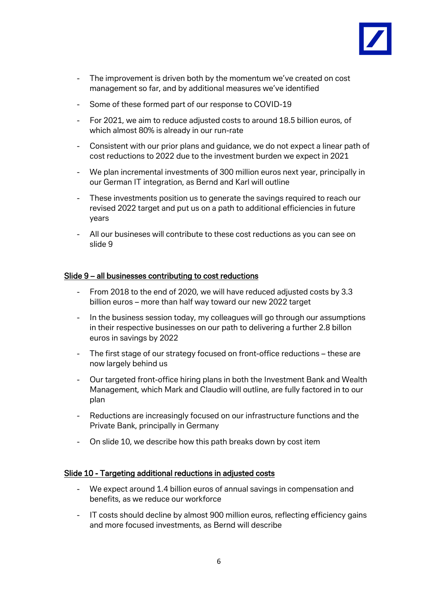

- The improvement is driven both by the momentum we've created on cost management so far, and by additional measures we've identified
- Some of these formed part of our response to COVID-19
- For 2021, we aim to reduce adjusted costs to around 18.5 billion euros, of which almost 80% is already in our run-rate
- Consistent with our prior plans and guidance, we do not expect a linear path of cost reductions to 2022 due to the investment burden we expect in 2021
- We plan incremental investments of 300 million euros next year, principally in our German IT integration, as Bernd and Karl will outline
- These investments position us to generate the savings required to reach our revised 2022 target and put us on a path to additional efficiencies in future years
- All our busineses will contribute to these cost reductions as you can see on slide 9

## Slide 9 – all businesses contributing to cost reductions

- From 2018 to the end of 2020, we will have reduced adjusted costs by 3.3 billion euros – more than half way toward our new 2022 target
- In the business session today, my colleagues will go through our assumptions in their respective businesses on our path to delivering a further 2.8 billon euros in savings by 2022
- The first stage of our strategy focused on front-office reductions these are now largely behind us
- Our targeted front-office hiring plans in both the Investment Bank and Wealth Management, which Mark and Claudio will outline, are fully factored in to our plan
- Reductions are increasingly focused on our infrastructure functions and the Private Bank, principally in Germany
- On slide 10, we describe how this path breaks down by cost item

## Slide 10 - Targeting additional reductions in adjusted costs

- We expect around 1.4 billion euros of annual savings in compensation and benefits, as we reduce our workforce
- IT costs should decline by almost 900 million euros, reflecting efficiency gains and more focused investments, as Bernd will describe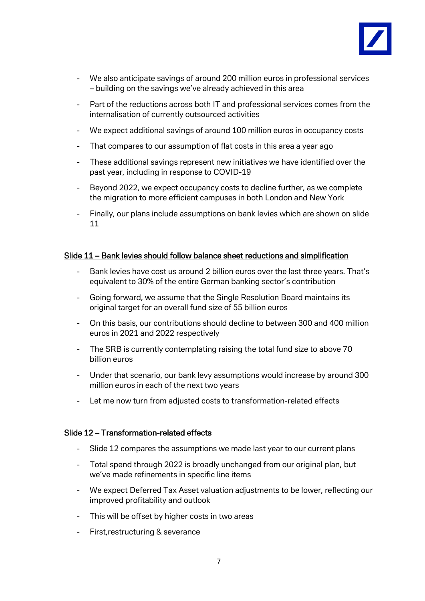

- We also anticipate savings of around 200 million euros in professional services – building on the savings we've already achieved in this area
- Part of the reductions across both IT and professional services comes from the internalisation of currently outsourced activities
- We expect additional savings of around 100 million euros in occupancy costs
- That compares to our assumption of flat costs in this area a year ago
- These additional savings represent new initiatives we have identified over the past year, including in response to COVID-19
- Beyond 2022, we expect occupancy costs to decline further, as we complete the migration to more efficient campuses in both London and New York
- Finally, our plans include assumptions on bank levies which are shown on slide 11

## Slide 11 – Bank levies should follow balance sheet reductions and simplification

- Bank levies have cost us around 2 billion euros over the last three years. That's equivalent to 30% of the entire German banking sector's contribution
- Going forward, we assume that the Single Resolution Board maintains its original target for an overall fund size of 55 billion euros
- On this basis, our contributions should decline to between 300 and 400 million euros in 2021 and 2022 respectively
- The SRB is currently contemplating raising the total fund size to above 70 billion euros
- Under that scenario, our bank levy assumptions would increase by around 300 million euros in each of the next two years
- Let me now turn from adjusted costs to transformation-related effects

## Slide 12 – Transformation-related effects

- Slide 12 compares the assumptions we made last year to our current plans
- Total spend through 2022 is broadly unchanged from our original plan, but we've made refinements in specific line items
- We expect Deferred Tax Asset valuation adjustments to be lower, reflecting our improved profitability and outlook
- This will be offset by higher costs in two areas
- First,restructuring & severance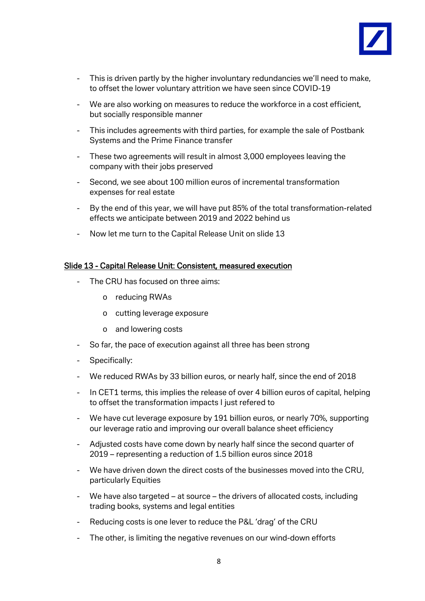

- This is driven partly by the higher involuntary redundancies we'll need to make, to offset the lower voluntary attrition we have seen since COVID-19
- We are also working on measures to reduce the workforce in a cost efficient, but socially responsible manner
- This includes agreements with third parties, for example the sale of Postbank Systems and the Prime Finance transfer
- These two agreements will result in almost 3,000 employees leaving the company with their jobs preserved
- Second, we see about 100 million euros of incremental transformation expenses for real estate
- By the end of this year, we will have put 85% of the total transformation-related effects we anticipate between 2019 and 2022 behind us
- Now let me turn to the Capital Release Unit on slide 13

## Slide 13 - Capital Release Unit: Consistent, measured execution

- The CRU has focused on three aims:
	- o reducing RWAs
	- o cutting leverage exposure
	- o and lowering costs
- So far, the pace of execution against all three has been strong
- Specifically:
- We reduced RWAs by 33 billion euros, or nearly half, since the end of 2018
- In CET1 terms, this implies the release of over 4 billion euros of capital, helping to offset the transformation impacts I just refered to
- We have cut leverage exposure by 191 billion euros, or nearly 70%, supporting our leverage ratio and improving our overall balance sheet efficiency
- Adjusted costs have come down by nearly half since the second quarter of 2019 – representing a reduction of 1.5 billion euros since 2018
- We have driven down the direct costs of the businesses moved into the CRU, particularly Equities
- We have also targeted at source the drivers of allocated costs, including trading books, systems and legal entities
- Reducing costs is one lever to reduce the P&L 'drag' of the CRU
- The other, is limiting the negative revenues on our wind-down efforts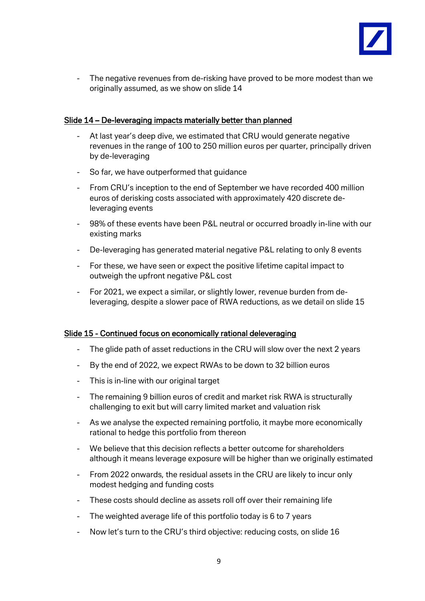

- The negative revenues from de-risking have proved to be more modest than we originally assumed, as we show on slide 14

## Slide 14 – De-leveraging impacts materially better than planned

- At last year's deep dive, we estimated that CRU would generate negative revenues in the range of 100 to 250 million euros per quarter, principally driven by de-leveraging
- So far, we have outperformed that guidance
- From CRU's inception to the end of September we have recorded 400 million euros of derisking costs associated with approximately 420 discrete deleveraging events
- 98% of these events have been P&L neutral or occurred broadly in-line with our existing marks
- De-leveraging has generated material negative P&L relating to only 8 events
- For these, we have seen or expect the positive lifetime capital impact to outweigh the upfront negative P&L cost
- For 2021, we expect a similar, or slightly lower, revenue burden from deleveraging, despite a slower pace of RWA reductions, as we detail on slide 15

## Slide 15 - Continued focus on economically rational deleveraging

- The glide path of asset reductions in the CRU will slow over the next 2 years
- By the end of 2022, we expect RWAs to be down to 32 billion euros
- This is in-line with our original target
- The remaining 9 billion euros of credit and market risk RWA is structurally challenging to exit but will carry limited market and valuation risk
- As we analyse the expected remaining portfolio, it maybe more economically rational to hedge this portfolio from thereon
- We believe that this decision reflects a better outcome for shareholders although it means leverage exposure will be higher than we originally estimated
- From 2022 onwards, the residual assets in the CRU are likely to incur only modest hedging and funding costs
- These costs should decline as assets roll off over their remaining life
- The weighted average life of this portfolio today is 6 to 7 years
- Now let's turn to the CRU's third objective: reducing costs, on slide 16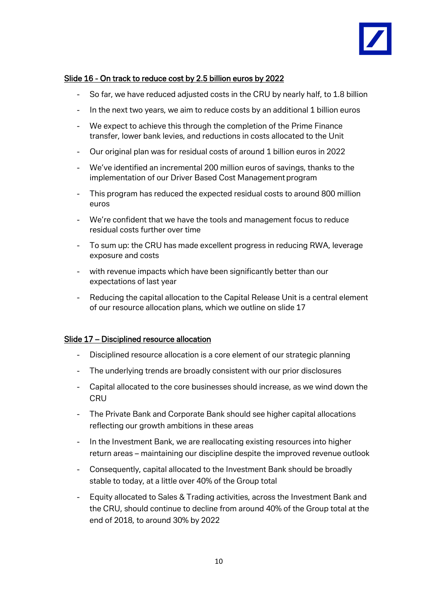

# Slide 16 - On track to reduce cost by 2.5 billion euros by 2022

- So far, we have reduced adjusted costs in the CRU by nearly half, to 1.8 billion
- In the next two years, we aim to reduce costs by an additional 1 billion euros
- We expect to achieve this through the completion of the Prime Finance transfer, lower bank levies, and reductions in costs allocated to the Unit
- Our original plan was for residual costs of around 1 billion euros in 2022
- We've identified an incremental 200 million euros of savings, thanks to the implementation of our Driver Based Cost Management program
- This program has reduced the expected residual costs to around 800 million euros
- We're confident that we have the tools and management focus to reduce residual costs further over time
- To sum up: the CRU has made excellent progress in reducing RWA, leverage exposure and costs
- with revenue impacts which have been significantly better than our expectations of last year
- Reducing the capital allocation to the Capital Release Unit is a central element of our resource allocation plans, which we outline on slide 17

## Slide 17 – Disciplined resource allocation

- Disciplined resource allocation is a core element of our strategic planning
- The underlying trends are broadly consistent with our prior disclosures
- Capital allocated to the core businesses should increase, as we wind down the **CRU**
- The Private Bank and Corporate Bank should see higher capital allocations reflecting our growth ambitions in these areas
- In the Investment Bank, we are reallocating existing resources into higher return areas – maintaining our discipline despite the improved revenue outlook
- Consequently, capital allocated to the Investment Bank should be broadly stable to today, at a little over 40% of the Group total
- Equity allocated to Sales & Trading activities, across the Investment Bank and the CRU, should continue to decline from around 40% of the Group total at the end of 2018, to around 30% by 2022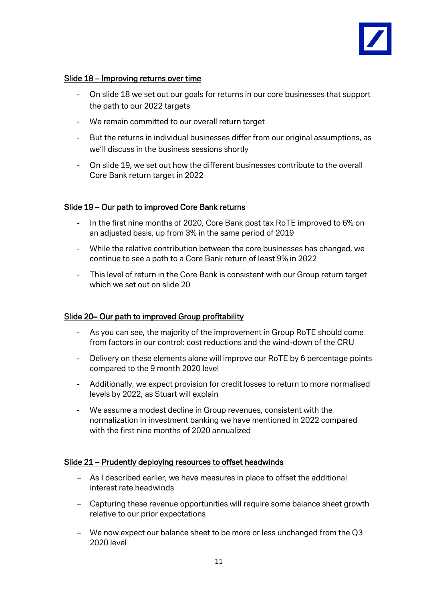

## Slide 18 – Improving returns over time

- On slide 18 we set out our goals for returns in our core businesses that support the path to our 2022 targets
- We remain committed to our overall return target
- But the returns in individual businesses differ from our original assumptions, as we'll discuss in the business sessions shortly
- On slide 19, we set out how the different businesses contribute to the overall Core Bank return target in 2022

## Slide 19 – Our path to improved Core Bank returns

- In the first nine months of 2020, Core Bank post tax RoTE improved to 6% on an adjusted basis, up from 3% in the same period of 2019
- While the relative contribution between the core businesses has changed, we continue to see a path to a Core Bank return of least 9% in 2022
- This level of return in the Core Bank is consistent with our Group return target which we set out on slide 20

## Slide 20– Our path to improved Group profitability

- As you can see, the majority of the improvement in Group RoTE should come from factors in our control: cost reductions and the wind-down of the CRU
- Delivery on these elements alone will improve our RoTE by 6 percentage points compared to the 9 month 2020 level
- Additionally, we expect provision for credit losses to return to more normalised levels by 2022, as Stuart will explain
- We assume a modest decline in Group revenues, consistent with the normalization in investment banking we have mentioned in 2022 compared with the first nine months of 2020 annualized

## Slide 21 – Prudently deploying resources to offset headwinds

- − As I described earlier, we have measures in place to offset the additional interest rate headwinds
- − Capturing these revenue opportunities will require some balance sheet growth relative to our prior expectations
- − We now expect our balance sheet to be more or less unchanged from the Q3 2020 level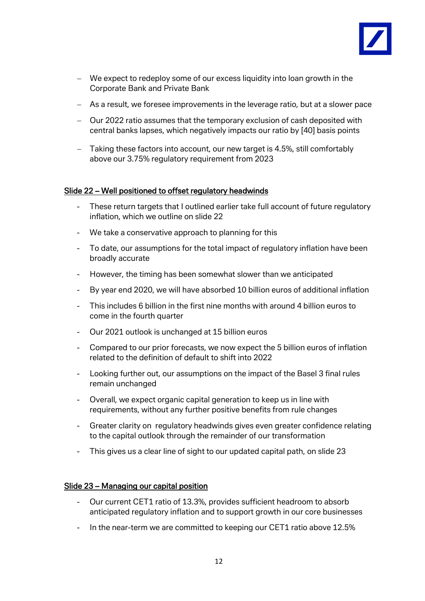

- − We expect to redeploy some of our excess liquidity into loan growth in the Corporate Bank and Private Bank
- − As a result, we foresee improvements in the leverage ratio, but at a slower pace
- − Our 2022 ratio assumes that the temporary exclusion of cash deposited with central banks lapses, which negatively impacts our ratio by [40] basis points
- − Taking these factors into account, our new target is 4.5%, still comfortably above our 3.75% regulatory requirement from 2023

## Slide 22 – Well positioned to offset regulatory headwinds

- These return targets that I outlined earlier take full account of future regulatory inflation, which we outline on slide 22
- We take a conservative approach to planning for this
- To date, our assumptions for the total impact of regulatory inflation have been broadly accurate
- However, the timing has been somewhat slower than we anticipated
- By year end 2020, we will have absorbed 10 billion euros of additional inflation
- This includes 6 billion in the first nine months with around 4 billion euros to come in the fourth quarter
- Our 2021 outlook is unchanged at 15 billion euros
- Compared to our prior forecasts, we now expect the 5 billion euros of inflation related to the definition of default to shift into 2022
- Looking further out, our assumptions on the impact of the Basel 3 final rules remain unchanged
- Overall, we expect organic capital generation to keep us in line with requirements, without any further positive benefits from rule changes
- Greater clarity on regulatory headwinds gives even greater confidence relating to the capital outlook through the remainder of our transformation
- This gives us a clear line of sight to our updated capital path, on slide 23

## Slide 23 – Managing our capital position

- Our current CET1 ratio of 13.3%, provides sufficient headroom to absorb anticipated regulatory inflation and to support growth in our core businesses
- In the near-term we are committed to keeping our CET1 ratio above 12.5%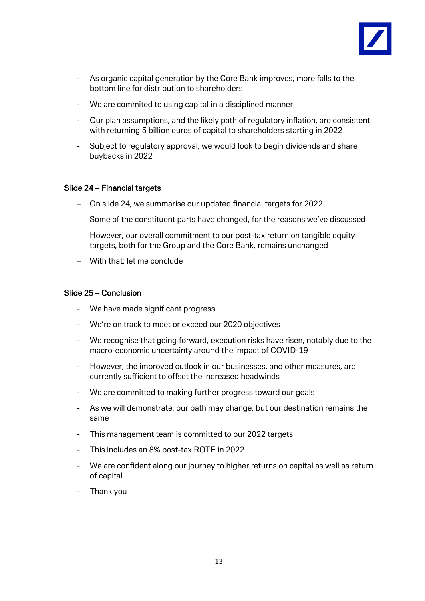

- As organic capital generation by the Core Bank improves, more falls to the bottom line for distribution to shareholders
- We are commited to using capital in a disciplined manner
- Our plan assumptions, and the likely path of regulatory inflation, are consistent with returning 5 billion euros of capital to shareholders starting in 2022
- Subject to regulatory approval, we would look to begin dividends and share buybacks in 2022

## Slide 24 – Financial targets

- − On slide 24, we summarise our updated financial targets for 2022
- − Some of the constituent parts have changed, for the reasons we've discussed
- − However, our overall commitment to our post-tax return on tangible equity targets, both for the Group and the Core Bank, remains unchanged
- − With that: let me conclude

## Slide 25 – Conclusion

- We have made significant progress
- We're on track to meet or exceed our 2020 objectives
- We recognise that going forward, execution risks have risen, notably due to the macro-economic uncertainty around the impact of COVID-19
- However, the improved outlook in our businesses, and other measures, are currently sufficient to offset the increased headwinds
- We are committed to making further progress toward our goals
- As we will demonstrate, our path may change, but our destination remains the same
- This management team is committed to our 2022 targets
- This includes an 8% post-tax ROTE in 2022
- We are confident along our journey to higher returns on capital as well as return of capital
- Thank you